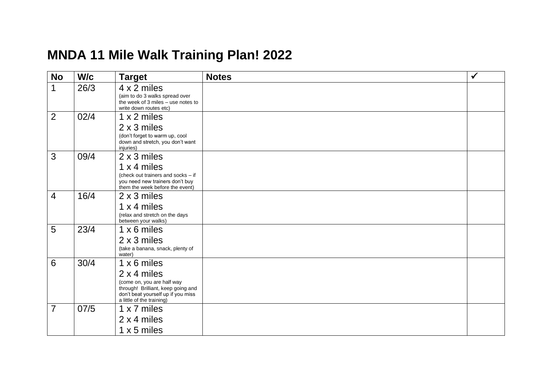## **MNDA 11 Mile Walk Training Plan! 202 2**

| <b>No</b>       | W/c  | <b>Target</b>                                                                                                                                                            | <b>Notes</b> | $\checkmark$ |
|-----------------|------|--------------------------------------------------------------------------------------------------------------------------------------------------------------------------|--------------|--------------|
| 1               | 26/3 | 4 x 2 miles<br>(aim to do 3 walks spread over<br>the week of 3 miles - use notes to<br>write down routes etc)                                                            |              |              |
| 2               | 02/4 | 1 x 2 miles<br>2 x 3 miles<br>(don't forget to warm up, cool<br>down and stretch, you don't want<br>injuries)                                                            |              |              |
| 3               | 09/4 | 2 x 3 miles<br>1 x 4 miles<br>(check out trainers and socks - if<br>you need new trainers don't buy<br>them the week before the event)                                   |              |              |
| $\overline{4}$  | 16/4 | 2 x 3 miles<br>1 x 4 miles<br>(relax and stretch on the days<br>between your walks)                                                                                      |              |              |
| 5               | 23/4 | 1 x 6 miles<br>2 x 3 miles<br>(take a banana, snack, plenty of<br>water)                                                                                                 |              |              |
| $6\phantom{1}6$ | 30/4 | $1 \times 6$ miles<br>2 x 4 miles<br>(come on, you are half way<br>through! Brilliant, keep going and<br>don't beat yourself up if you miss<br>a little of the training) |              |              |
| $\overline{7}$  | 07/5 | 1 x 7 miles<br>2 x 4 miles<br>$1 \times 5$ miles                                                                                                                         |              |              |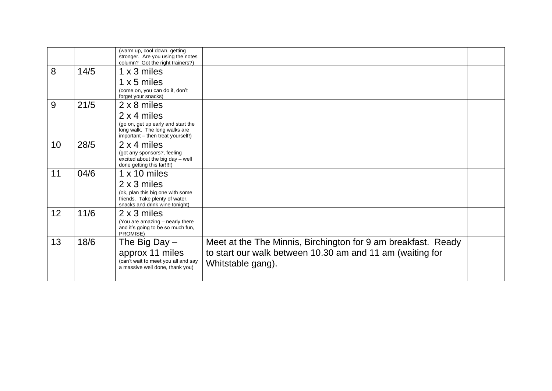|    |      | (warm up, cool down, getting<br>stronger. Are you using the notes<br>column? Got the right trainers?)    |                                                               |  |
|----|------|----------------------------------------------------------------------------------------------------------|---------------------------------------------------------------|--|
| 8  | 14/5 | 1 x 3 miles                                                                                              |                                                               |  |
|    |      | $1 \times 5$ miles                                                                                       |                                                               |  |
|    |      | (come on, you can do it, don't<br>forget your snacks)                                                    |                                                               |  |
| 9  | 21/5 | 2 x 8 miles                                                                                              |                                                               |  |
|    |      | 2 x 4 miles                                                                                              |                                                               |  |
|    |      | (go on, get up early and start the<br>long walk. The long walks are<br>important - then treat yourself!) |                                                               |  |
| 10 | 28/5 | $2 \times 4$ miles                                                                                       |                                                               |  |
|    |      | (got any sponsors?, feeling<br>excited about the big day - well<br>done getting this far!!!!)            |                                                               |  |
| 11 | 04/6 | $1 \times 10$ miles                                                                                      |                                                               |  |
|    |      | 2 x 3 miles                                                                                              |                                                               |  |
|    |      | (ok, plan this big one with some<br>friends. Take plenty of water,<br>snacks and drink wine tonight)     |                                                               |  |
| 12 | 11/6 | 2 x 3 miles                                                                                              |                                                               |  |
|    |      | (You are amazing - nearly there<br>and it's going to be so much fun,<br>PROMISE)                         |                                                               |  |
| 13 | 18/6 | The Big Day $-$                                                                                          | Meet at the The Minnis, Birchington for 9 am breakfast. Ready |  |
|    |      | approx 11 miles                                                                                          | to start our walk between 10.30 am and 11 am (waiting for     |  |
|    |      | (can't wait to meet you all and say                                                                      | Whitstable gang).                                             |  |
|    |      | a massive well done, thank you)                                                                          |                                                               |  |
|    |      |                                                                                                          |                                                               |  |